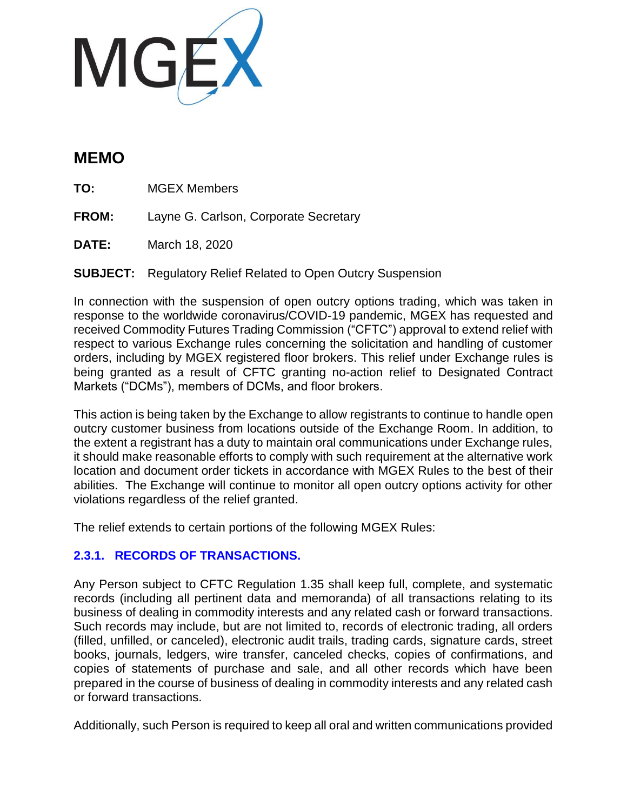

# **MEMO**

**TO:** MGEX Members

**FROM:** Layne G. Carlson, Corporate Secretary

**DATE:** March 18, 2020

**SUBJECT:** Regulatory Relief Related to Open Outcry Suspension

In connection with the suspension of open outcry options trading, which was taken in response to the worldwide coronavirus/COVID-19 pandemic, MGEX has requested and received Commodity Futures Trading Commission ("CFTC") approval to extend relief with respect to various Exchange rules concerning the solicitation and handling of customer orders, including by MGEX registered floor brokers. This relief under Exchange rules is being granted as a result of CFTC granting no-action relief to Designated Contract Markets ("DCMs"), members of DCMs, and floor brokers.

This action is being taken by the Exchange to allow registrants to continue to handle open outcry customer business from locations outside of the Exchange Room. In addition, to the extent a registrant has a duty to maintain oral communications under Exchange rules, it should make reasonable efforts to comply with such requirement at the alternative work location and document order tickets in accordance with MGEX Rules to the best of their abilities. The Exchange will continue to monitor all open outcry options activity for other violations regardless of the relief granted.

The relief extends to certain portions of the following MGEX Rules:

## **2.3.1. RECORDS OF TRANSACTIONS.**

Any Person subject to CFTC Regulation 1.35 shall keep full, complete, and systematic records (including all pertinent data and memoranda) of all transactions relating to its business of dealing in commodity interests and any related cash or forward transactions. Such records may include, but are not limited to, records of electronic trading, all orders (filled, unfilled, or canceled), electronic audit trails, trading cards, signature cards, street books, journals, ledgers, wire transfer, canceled checks, copies of confirmations, and copies of statements of purchase and sale, and all other records which have been prepared in the course of business of dealing in commodity interests and any related cash or forward transactions.

Additionally, such Person is required to keep all oral and written communications provided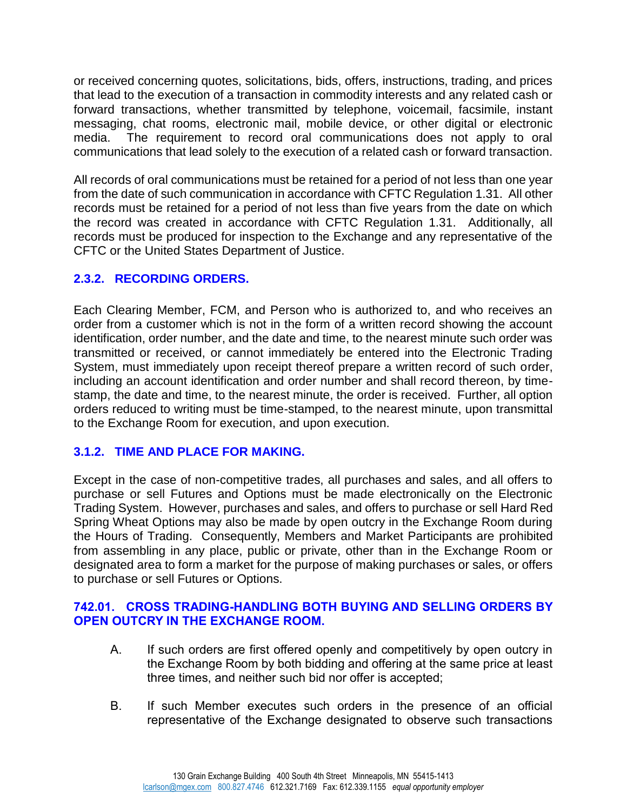or received concerning quotes, solicitations, bids, offers, instructions, trading, and prices that lead to the execution of a transaction in commodity interests and any related cash or forward transactions, whether transmitted by telephone, voicemail, facsimile, instant messaging, chat rooms, electronic mail, mobile device, or other digital or electronic media. The requirement to record oral communications does not apply to oral communications that lead solely to the execution of a related cash or forward transaction.

All records of oral communications must be retained for a period of not less than one year from the date of such communication in accordance with CFTC Regulation 1.31. All other records must be retained for a period of not less than five years from the date on which the record was created in accordance with CFTC Regulation 1.31. Additionally, all records must be produced for inspection to the Exchange and any representative of the CFTC or the United States Department of Justice.

## **2.3.2. RECORDING ORDERS.**

Each Clearing Member, FCM, and Person who is authorized to, and who receives an order from a customer which is not in the form of a written record showing the account identification, order number, and the date and time, to the nearest minute such order was transmitted or received, or cannot immediately be entered into the Electronic Trading System, must immediately upon receipt thereof prepare a written record of such order, including an account identification and order number and shall record thereon, by timestamp, the date and time, to the nearest minute, the order is received. Further, all option orders reduced to writing must be time-stamped, to the nearest minute, upon transmittal to the Exchange Room for execution, and upon execution.

## **3.1.2. TIME AND PLACE FOR MAKING.**

Except in the case of non-competitive trades, all purchases and sales, and all offers to purchase or sell Futures and Options must be made electronically on the Electronic Trading System. However, purchases and sales, and offers to purchase or sell Hard Red Spring Wheat Options may also be made by open outcry in the Exchange Room during the Hours of Trading. Consequently, Members and Market Participants are prohibited from assembling in any place, public or private, other than in the Exchange Room or designated area to form a market for the purpose of making purchases or sales, or offers to purchase or sell Futures or Options.

### **742.01. CROSS TRADING-HANDLING BOTH BUYING AND SELLING ORDERS BY OPEN OUTCRY IN THE EXCHANGE ROOM.**

- A. If such orders are first offered openly and competitively by open outcry in the Exchange Room by both bidding and offering at the same price at least three times, and neither such bid nor offer is accepted;
- B. If such Member executes such orders in the presence of an official representative of the Exchange designated to observe such transactions